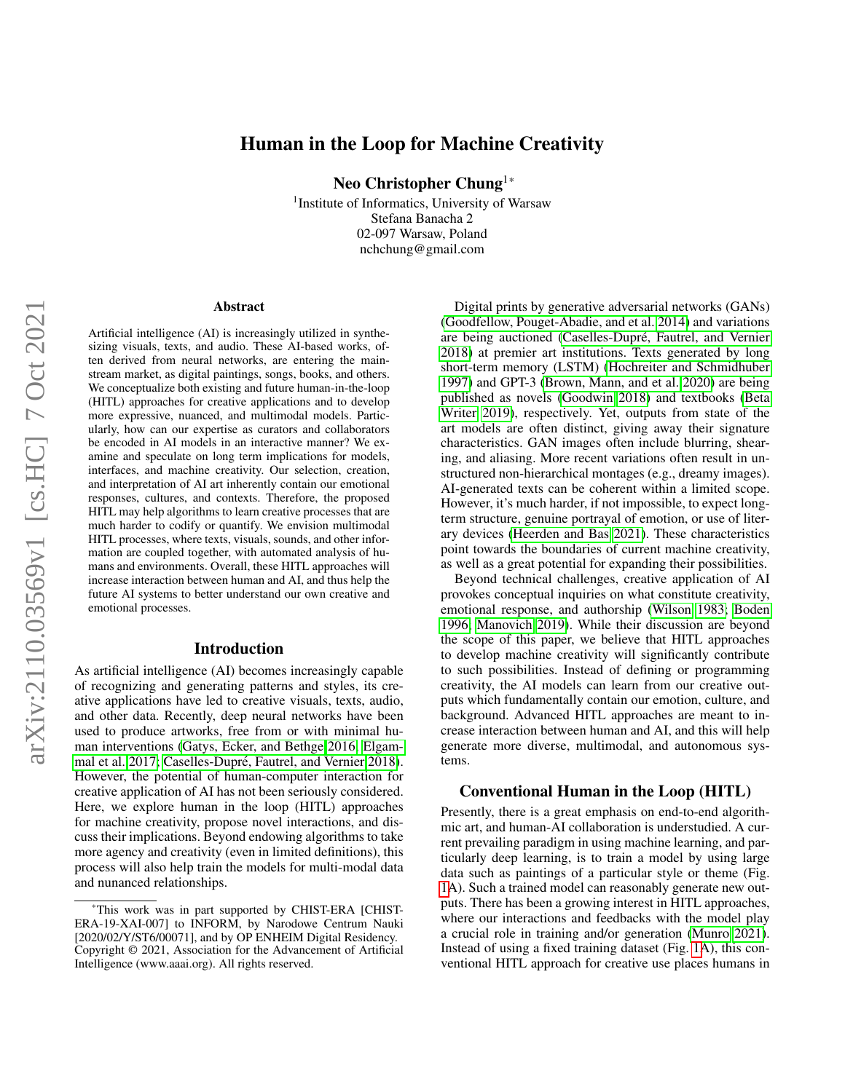# arXiv:2110.03569v1 [cs.HC] 7 Oct 2021 arXiv:2110.03569v1 [cs.HC] 7 Oct 2021

# Human in the Loop for Machine Creativity

Neo Christopher Chung1\*

<sup>1</sup> Institute of Informatics, University of Warsaw Stefana Banacha 2 02-097 Warsaw, Poland nchchung@gmail.com

### Abstract

Artificial intelligence (AI) is increasingly utilized in synthesizing visuals, texts, and audio. These AI-based works, often derived from neural networks, are entering the mainstream market, as digital paintings, songs, books, and others. We conceptualize both existing and future human-in-the-loop (HITL) approaches for creative applications and to develop more expressive, nuanced, and multimodal models. Particularly, how can our expertise as curators and collaborators be encoded in AI models in an interactive manner? We examine and speculate on long term implications for models, interfaces, and machine creativity. Our selection, creation, and interpretation of AI art inherently contain our emotional responses, cultures, and contexts. Therefore, the proposed HITL may help algorithms to learn creative processes that are much harder to codify or quantify. We envision multimodal HITL processes, where texts, visuals, sounds, and other information are coupled together, with automated analysis of humans and environments. Overall, these HITL approaches will increase interaction between human and AI, and thus help the future AI systems to better understand our own creative and emotional processes.

## Introduction

As artificial intelligence (AI) becomes increasingly capable of recognizing and generating patterns and styles, its creative applications have led to creative visuals, texts, audio, and other data. Recently, deep neural networks have been used to produce artworks, free from or with minimal human interventions [\(Gatys, Ecker, and Bethge 2016;](#page-3-0) [Elgam](#page-3-1)[mal et al. 2017;](#page-3-1) Caselles-Dupré, Fautrel, and Vernier 2018). However, the potential of human-computer interaction for creative application of AI has not been seriously considered. Here, we explore human in the loop (HITL) approaches for machine creativity, propose novel interactions, and discuss their implications. Beyond endowing algorithms to take more agency and creativity (even in limited definitions), this process will also help train the models for multi-modal data and nunanced relationships.

Digital prints by generative adversarial networks (GANs) [\(Goodfellow, Pouget-Abadie, and et al. 2014\)](#page-3-3) and variations are being auctioned (Caselles-Dupré, Fautrel, and Vernier [2018\)](#page-3-2) at premier art institutions. Texts generated by long short-term memory (LSTM) [\(Hochreiter and Schmidhuber](#page-3-4) [1997\)](#page-3-4) and GPT-3 [\(Brown, Mann, and et al. 2020\)](#page-3-5) are being published as novels [\(Goodwin 2018\)](#page-3-6) and textbooks [\(Beta](#page-3-7) [Writer 2019\)](#page-3-7), respectively. Yet, outputs from state of the art models are often distinct, giving away their signature characteristics. GAN images often include blurring, shearing, and aliasing. More recent variations often result in unstructured non-hierarchical montages (e.g., dreamy images). AI-generated texts can be coherent within a limited scope. However, it's much harder, if not impossible, to expect longterm structure, genuine portrayal of emotion, or use of literary devices [\(Heerden and Bas 2021\)](#page-3-8). These characteristics point towards the boundaries of current machine creativity, as well as a great potential for expanding their possibilities.

Beyond technical challenges, creative application of AI provokes conceptual inquiries on what constitute creativity, emotional response, and authorship [\(Wilson 1983;](#page-3-9) [Boden](#page-3-10) [1996;](#page-3-10) [Manovich 2019\)](#page-3-11). While their discussion are beyond the scope of this paper, we believe that HITL approaches to develop machine creativity will significantly contribute to such possibilities. Instead of defining or programming creativity, the AI models can learn from our creative outputs which fundamentally contain our emotion, culture, and background. Advanced HITL approaches are meant to increase interaction between human and AI, and this will help generate more diverse, multimodal, and autonomous systems.

### Conventional Human in the Loop (HITL)

Presently, there is a great emphasis on end-to-end algorithmic art, and human-AI collaboration is understudied. A current prevailing paradigm in using machine learning, and particularly deep learning, is to train a model by using large data such as paintings of a particular style or theme (Fig. [1A](#page-1-0)). Such a trained model can reasonably generate new outputs. There has been a growing interest in HITL approaches, where our interactions and feedbacks with the model play a crucial role in training and/or generation [\(Munro 2021\)](#page-3-12). Instead of using a fixed training dataset (Fig. [1A](#page-1-0)), this conventional HITL approach for creative use places humans in

This work was in part supported by CHIST-ERA [CHIST-ERA-19-XAI-007] to INFORM, by Narodowe Centrum Nauki [2020/02/Y/ST6/00071], and by OP ENHEIM Digital Residency. Copyright © 2021, Association for the Advancement of Artificial Intelligence (www.aaai.org). All rights reserved.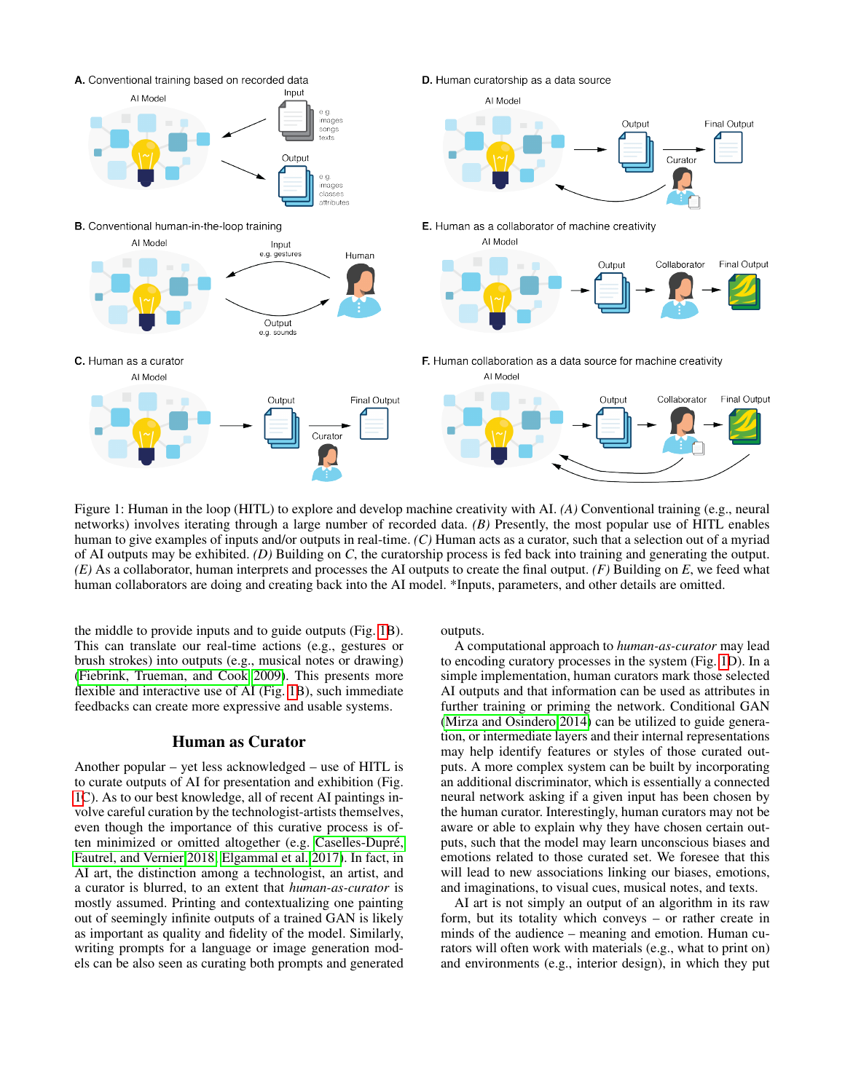<span id="page-1-0"></span>

Figure 1: Human in the loop (HITL) to explore and develop machine creativity with AI. *(A)* Conventional training (e.g., neural networks) involves iterating through a large number of recorded data. *(B)* Presently, the most popular use of HITL enables human to give examples of inputs and/or outputs in real-time. *(C)* Human acts as a curator, such that a selection out of a myriad of AI outputs may be exhibited. *(D)* Building on *C*, the curatorship process is fed back into training and generating the output. *(E)* As a collaborator, human interprets and processes the AI outputs to create the final output. *(F)* Building on *E*, we feed what human collaborators are doing and creating back into the AI model. \*Inputs, parameters, and other details are omitted.

the middle to provide inputs and to guide outputs (Fig. [1B](#page-1-0)). This can translate our real-time actions (e.g., gestures or brush strokes) into outputs (e.g., musical notes or drawing) [\(Fiebrink, Trueman, and Cook 2009\)](#page-3-13). This presents more flexible and interactive use of AI (Fig. [1B](#page-1-0)), such immediate feedbacks can create more expressive and usable systems.

# Human as Curator

Another popular – yet less acknowledged – use of HITL is to curate outputs of AI for presentation and exhibition (Fig. [1C](#page-1-0)). As to our best knowledge, all of recent AI paintings involve careful curation by the technologist-artists themselves, even though the importance of this curative process is often minimized or omitted altogether (e.g. Caselles-Dupré, [Fautrel, and Vernier 2018;](#page-3-2) [Elgammal et al. 2017\)](#page-3-1). In fact, in AI art, the distinction among a technologist, an artist, and a curator is blurred, to an extent that *human-as-curator* is mostly assumed. Printing and contextualizing one painting out of seemingly infinite outputs of a trained GAN is likely as important as quality and fidelity of the model. Similarly, writing prompts for a language or image generation models can be also seen as curating both prompts and generated

outputs.

A computational approach to *human-as-curator* may lead to encoding curatory processes in the system (Fig. [1D](#page-1-0)). In a simple implementation, human curators mark those selected AI outputs and that information can be used as attributes in further training or priming the network. Conditional GAN [\(Mirza and Osindero 2014\)](#page-3-14) can be utilized to guide generation, or intermediate layers and their internal representations may help identify features or styles of those curated outputs. A more complex system can be built by incorporating an additional discriminator, which is essentially a connected neural network asking if a given input has been chosen by the human curator. Interestingly, human curators may not be aware or able to explain why they have chosen certain outputs, such that the model may learn unconscious biases and emotions related to those curated set. We foresee that this will lead to new associations linking our biases, emotions, and imaginations, to visual cues, musical notes, and texts.

AI art is not simply an output of an algorithm in its raw form, but its totality which conveys – or rather create in minds of the audience – meaning and emotion. Human curators will often work with materials (e.g., what to print on) and environments (e.g., interior design), in which they put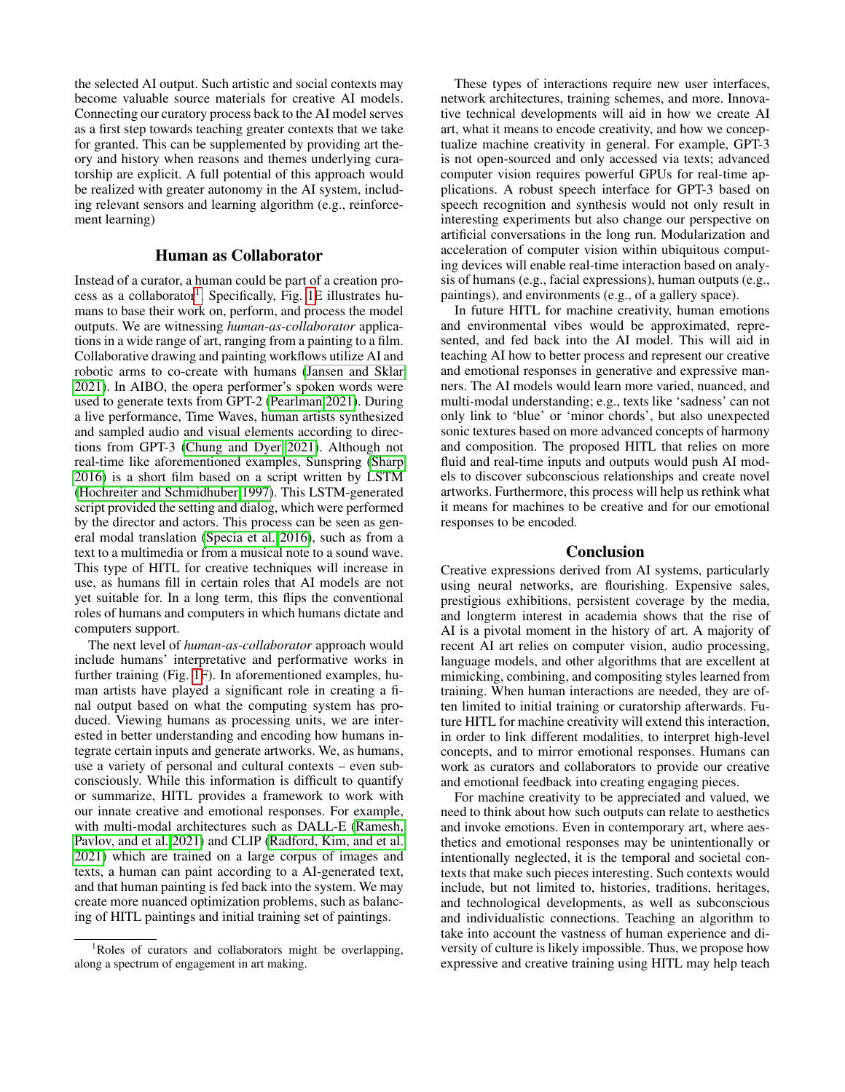the selected AI output. Such artistic and social contexts may become valuable source materials for creative AI models. Connecting our curatory process back to the AI model serves as a first step towards teaching greater contexts that we take for granted. This can be supplemented by providing art theory and history when reasons and themes underlying curatorship are explicit. A full potential of this approach would be realized with greater autonomy in the AI system, including relevant sensors and learning algorithm (e.g., reinforcement learning)

# Human as Collaborator

Instead of a curator, a human could be part of a creation pro-cess as a collaborator<sup>[1](#page-2-0)</sup>. Specifically, Fig. [1E](#page-1-0) illustrates humans to base their work on, perform, and process the model outputs. We are witnessing *human-as-collaborator* applications in a wide range of art, ranging from a painting to a film. Collaborative drawing and painting workflows utilize AI and robotic arms to co-create with humans [\(Jansen and Sklar](#page-3-15) [2021\)](#page-3-15). In AIBO, the opera performer's spoken words were used to generate texts from GPT-2 [\(Pearlman 2021\)](#page-3-16). During a live performance, Time Waves, human artists synthesized and sampled audio and visual elements according to directions from GPT-3 [\(Chung and Dyer 2021\)](#page-3-17). Although not real-time like aforementioned examples, Sunspring [\(Sharp](#page-3-18) [2016\)](#page-3-18) is a short film based on a script written by LSTM [\(Hochreiter and Schmidhuber 1997\)](#page-3-4). This LSTM-generated script provided the setting and dialog, which were performed by the director and actors. This process can be seen as general modal translation [\(Specia et al. 2016\)](#page-3-19), such as from a text to a multimedia or from a musical note to a sound wave. This type of HITL for creative techniques will increase in use, as humans fill in certain roles that AI models are not yet suitable for. In a long term, this flips the conventional roles of humans and computers in which humans dictate and computers support.

The next level of *human-as-collaborator* approach would include humans' interpretative and performative works in further training (Fig. [1F](#page-1-0)). In aforementioned examples, human artists have played a significant role in creating a final output based on what the computing system has produced. Viewing humans as processing units, we are interested in better understanding and encoding how humans integrate certain inputs and generate artworks. We, as humans, use a variety of personal and cultural contexts – even subconsciously. While this information is difficult to quantify or summarize, HITL provides a framework to work with our innate creative and emotional responses. For example, with multi-modal architectures such as DALL-E [\(Ramesh,](#page-3-20) [Pavlov, and et al. 2021\)](#page-3-20) and CLIP [\(Radford, Kim, and et al.](#page-3-21) [2021\)](#page-3-21) which are trained on a large corpus of images and texts, a human can paint according to a AI-generated text, and that human painting is fed back into the system. We may create more nuanced optimization problems, such as balancing of HITL paintings and initial training set of paintings.

These types of interactions require new user interfaces, network architectures, training schemes, and more. Innovative technical developments will aid in how we create AI art, what it means to encode creativity, and how we conceptualize machine creativity in general. For example, GPT-3 is not open-sourced and only accessed via texts; advanced computer vision requires powerful GPUs for real-time applications. A robust speech interface for GPT-3 based on speech recognition and synthesis would not only result in interesting experiments but also change our perspective on artificial conversations in the long run. Modularization and acceleration of computer vision within ubiquitous computing devices will enable real-time interaction based on analysis of humans (e.g., facial expressions), human outputs (e.g., paintings), and environments (e.g., of a gallery space).

In future HITL for machine creativity, human emotions and environmental vibes would be approximated, represented, and fed back into the AI model. This will aid in teaching AI how to better process and represent our creative and emotional responses in generative and expressive manners. The AI models would learn more varied, nuanced, and multi-modal understanding; e.g., texts like 'sadness' can not only link to 'blue' or 'minor chords', but also unexpected sonic textures based on more advanced concepts of harmony and composition. The proposed HITL that relies on more fluid and real-time inputs and outputs would push AI models to discover subconscious relationships and create novel artworks. Furthermore, this process will help us rethink what it means for machines to be creative and for our emotional responses to be encoded.

# Conclusion

Creative expressions derived from AI systems, particularly using neural networks, are flourishing. Expensive sales, prestigious exhibitions, persistent coverage by the media, and longterm interest in academia shows that the rise of AI is a pivotal moment in the history of art. A majority of recent AI art relies on computer vision, audio processing, language models, and other algorithms that are excellent at mimicking, combining, and compositing styles learned from training. When human interactions are needed, they are often limited to initial training or curatorship afterwards. Future HITL for machine creativity will extend this interaction, in order to link different modalities, to interpret high-level concepts, and to mirror emotional responses. Humans can work as curators and collaborators to provide our creative and emotional feedback into creating engaging pieces.

For machine creativity to be appreciated and valued, we need to think about how such outputs can relate to aesthetics and invoke emotions. Even in contemporary art, where aesthetics and emotional responses may be unintentionally or intentionally neglected, it is the temporal and societal contexts that make such pieces interesting. Such contexts would include, but not limited to, histories, traditions, heritages, and technological developments, as well as subconscious and individualistic connections. Teaching an algorithm to take into account the vastness of human experience and diversity of culture is likely impossible. Thus, we propose how expressive and creative training using HITL may help teach

<span id="page-2-0"></span><sup>&</sup>lt;sup>1</sup>Roles of curators and collaborators might be overlapping, along a spectrum of engagement in art making.